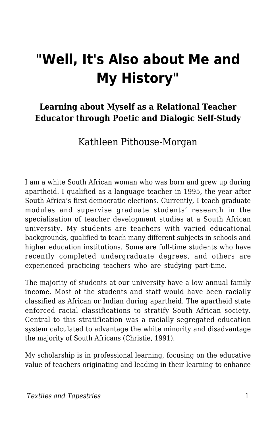# **"Well, It's Also about Me and My History"**

### **Learning about Myself as a Relational Teacher Educator through Poetic and Dialogic Self-Study**

Kathleen Pithouse-Morgan

I am a white South African woman who was born and grew up during apartheid. I qualified as a language teacher in 1995, the year after South Africa's first democratic elections. Currently, I teach graduate modules and supervise graduate students' research in the specialisation of teacher development studies at a South African university. My students are teachers with varied educational backgrounds, qualified to teach many different subjects in schools and higher education institutions. Some are full-time students who have recently completed undergraduate degrees, and others are experienced practicing teachers who are studying part-time.

The majority of students at our university have a low annual family income. Most of the students and staff would have been racially classified as African or Indian during apartheid. The apartheid state enforced racial classifications to stratify South African society. Central to this stratification was a racially segregated education system calculated to advantage the white minority and disadvantage the majority of South Africans (Christie, 1991).

My scholarship is in professional learning, focusing on the educative value of teachers originating and leading in their learning to enhance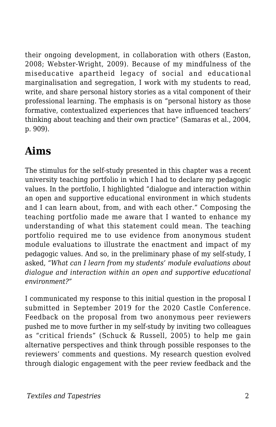their ongoing development, in collaboration with others (Easton, 2008; Webster-Wright, 2009). Because of my mindfulness of the miseducative apartheid legacy of social and educational marginalisation and segregation, I work with my students to read, write, and share personal history stories as a vital component of their professional learning. The emphasis is on "personal history as those formative, contextualized experiences that have influenced teachers' thinking about teaching and their own practice" (Samaras et al., 2004, p. 909).

## **Aims**

The stimulus for the self-study presented in this chapter was a recent university teaching portfolio in which I had to declare my pedagogic values. In the portfolio, I highlighted "dialogue and interaction within an open and supportive educational environment in which students and I can learn about, from, and with each other." Composing the teaching portfolio made me aware that I wanted to enhance my understanding of what this statement could mean. The teaching portfolio required me to use evidence from anonymous student module evaluations to illustrate the enactment and impact of my pedagogic values. And so, in the preliminary phase of my self-study, I asked, *"What can I learn from my students' module evaluations about dialogue and interaction within an open and supportive educational environment?"*

I communicated my response to this initial question in the proposal I submitted in September 2019 for the 2020 Castle Conference. Feedback on the proposal from two anonymous peer reviewers pushed me to move further in my self-study by inviting two colleagues as "critical friends" (Schuck & Russell, 2005) to help me gain alternative perspectives and think through possible responses to the reviewers' comments and questions. My research question evolved through dialogic engagement with the peer review feedback and the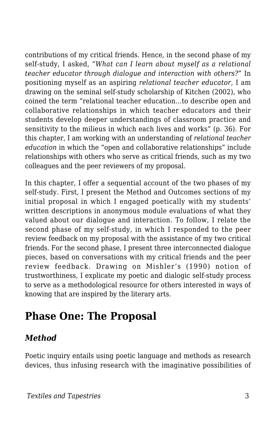contributions of my critical friends. Hence, in the second phase of my self-study, I asked, *"What can I learn about myself as a relational teacher educator through dialogue and interaction with others?"* In positioning myself as an aspiring *relational teacher educator*, I am drawing on the seminal self-study scholarship of Kitchen (2002), who coined the term "relational teacher education…to describe open and collaborative relationships in which teacher educators and their students develop deeper understandings of classroom practice and sensitivity to the milieus in which each lives and works" (p. 36). For this chapter, I am working with an understanding of *relational teacher education* in which the "open and collaborative relationships" include relationships with others who serve as critical friends, such as my two colleagues and the peer reviewers of my proposal.

In this chapter, I offer a sequential account of the two phases of my self-study. First, I present the Method and Outcomes sections of my initial proposal in which I engaged poetically with my students' written descriptions in anonymous module evaluations of what they valued about our dialogue and interaction. To follow, I relate the second phase of my self-study, in which I responded to the peer review feedback on my proposal with the assistance of my two critical friends. For the second phase, I present three interconnected dialogue pieces, based on conversations with my critical friends and the peer review feedback. Drawing on Mishler's (1990) notion of trustworthiness, I explicate my poetic and dialogic self-study process to serve as a methodological resource for others interested in ways of knowing that are inspired by the literary arts.

## **Phase One: The Proposal**

### *Method*

Poetic inquiry entails using poetic language and methods as research devices, thus infusing research with the imaginative possibilities of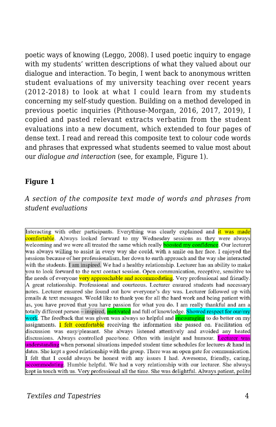poetic ways of knowing (Leggo, 2008). I used poetic inquiry to engage with my students' written descriptions of what they valued about our dialogue and interaction. To begin, I went back to anonymous written student evaluations of my university teaching over recent years (2012-2018) to look at what I could learn from my students concerning my self-study question. Building on a method developed in previous poetic inquiries (Pithouse-Morgan, 2016, 2017, 2019), I copied and pasted relevant extracts verbatim from the student evaluations into a new document, which extended to four pages of dense text. I read and reread this composite text to colour code words and phrases that expressed what students seemed to value most about our *dialogue and interaction* (see, for example, Figure 1).

#### **Figure 1**

*A section of the composite text made of words and phrases from student evaluations*

Interacting with other participants. Everything was clearly explained and it was made comfortable. Always looked forward to my Wednesday sessions as they were always welcoming and we were all treated the same which really **boosted my confidence**. Our lecturer was always willing to assist in every way she could, with a smile on her face. I enjoyed the sessions because of her professionalism, her down to earth approach and the way she interacted with the students. I am inspired. We had a healthy relationship. Lecturer has an ability to make you to look forward to the next contact session. Open communication, receptive, sensitive to the needs of everyone very approachable and accommodating. Very professional and friendly. A great relationship. Professional and courteous. Lecturer ensured students had necessary notes. Lecturer ensured she found out how everyone's day was. Lecturer followed up with emails & text messages. Would like to thank you for all the hard work and being patient with us, you have proved that you have passion for what you do. I am really thankful and am a totally different person – inspired, motivated and full of knowledge. Showed respect for our/my work. The feedback that was given was always so helpful and **encouraging** to do better on my assignments. I felt comfortable receiving the information she passed on. Facilitation of discussion was easy/pleasant. She always listened attentively and avoided any heated discussions. Always controlled pace/tone. Often with insight and humour. Lecturer was understanding when personal situations impeded student time schedules for lectures & hand in dates. She kept a good relationship with the group. There was an open gate for communication. I felt that I could always be honest with any issues I had. Awesome, friendly, caring, accommodating. Humble helpful. We had a very relationship with our lecturer. She always kept in touch with us. Very professional all the time. She was delightful. Always patient, polite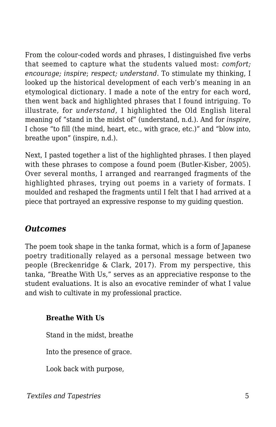From the colour-coded words and phrases, I distinguished five verbs that seemed to capture what the students valued most: *comfort; encourage; inspire*; *respect; understand*. To stimulate my thinking, I looked up the historical development of each verb's meaning in an etymological dictionary. I made a note of the entry for each word, then went back and highlighted phrases that I found intriguing. To illustrate, for *understand,* I highlighted the Old English literal meaning of "stand in the midst of" (understand, n.d.). And for *inspire*, I chose "to fill (the mind, heart, etc., with grace, etc.)" and "blow into, breathe upon" (inspire, n.d.).

Next, I pasted together a list of the highlighted phrases. I then played with these phrases to compose a found poem (Butler-Kisber, 2005). Over several months, I arranged and rearranged fragments of the highlighted phrases, trying out poems in a variety of formats. I moulded and reshaped the fragments until I felt that I had arrived at a piece that portrayed an expressive response to my guiding question.

### *Outcomes*

The poem took shape in the tanka format, which is a form of Japanese poetry traditionally relayed as a personal message between two people (Breckenridge & Clark, 2017). From my perspective, this tanka, "Breathe With Us," serves as an appreciative response to the student evaluations. It is also an evocative reminder of what I value and wish to cultivate in my professional practice.

### **Breathe With Us**

Stand in the midst, breathe

Into the presence of grace.

Look back with purpose,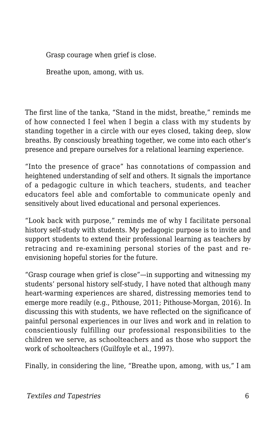Grasp courage when grief is close.

Breathe upon, among, with us.

The first line of the tanka, "Stand in the midst, breathe," reminds me of how connected I feel when I begin a class with my students by standing together in a circle with our eyes closed, taking deep, slow breaths. By consciously breathing together, we come into each other's presence and prepare ourselves for a relational learning experience.

"Into the presence of grace" has connotations of compassion and heightened understanding of self and others. It signals the importance of a pedagogic culture in which teachers, students, and teacher educators feel able and comfortable to communicate openly and sensitively about lived educational and personal experiences.

"Look back with purpose," reminds me of why I facilitate personal history self-study with students. My pedagogic purpose is to invite and support students to extend their professional learning as teachers by retracing and re-examining personal stories of the past and reenvisioning hopeful stories for the future.

"Grasp courage when grief is close"—in supporting and witnessing my students' personal history self-study, I have noted that although many heart-warming experiences are shared, distressing memories tend to emerge more readily (e.g., Pithouse, 2011; Pithouse-Morgan, 2016). In discussing this with students, we have reflected on the significance of painful personal experiences in our lives and work and in relation to conscientiously fulfilling our professional responsibilities to the children we serve, as schoolteachers and as those who support the work of schoolteachers (Guilfoyle et al., 1997).

Finally, in considering the line, "Breathe upon, among, with us," I am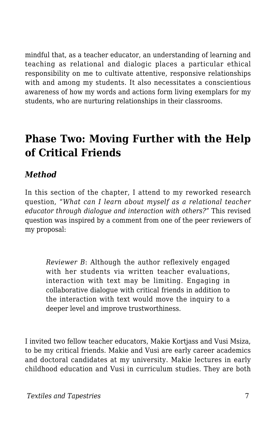mindful that, as a teacher educator, an understanding of learning and teaching as relational and dialogic places a particular ethical responsibility on me to cultivate attentive, responsive relationships with and among my students. It also necessitates a conscientious awareness of how my words and actions form living exemplars for my students, who are nurturing relationships in their classrooms.

## **Phase Two: Moving Further with the Help of Critical Friends**

### *Method*

In this section of the chapter, I attend to my reworked research question, *"What can I learn about myself as a relational teacher educator through dialogue and interaction with others?"* This revised question was inspired by a comment from one of the peer reviewers of my proposal:

*Reviewer B*: Although the author reflexively engaged with her students via written teacher evaluations. interaction with text may be limiting. Engaging in collaborative dialogue with critical friends in addition to the interaction with text would move the inquiry to a deeper level and improve trustworthiness.

I invited two fellow teacher educators, Makie Kortjass and Vusi Msiza, to be my critical friends. Makie and Vusi are early career academics and doctoral candidates at my university. Makie lectures in early childhood education and Vusi in curriculum studies. They are both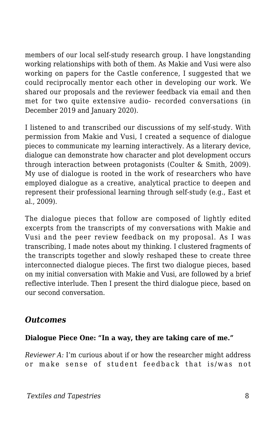members of our local self-study research group. I have longstanding working relationships with both of them. As Makie and Vusi were also working on papers for the Castle conference, I suggested that we could reciprocally mentor each other in developing our work. We shared our proposals and the reviewer feedback via email and then met for two quite extensive audio- recorded conversations (in December 2019 and January 2020).

I listened to and transcribed our discussions of my self-study. With permission from Makie and Vusi, I created a sequence of dialogue pieces to communicate my learning interactively. As a literary device, dialogue can demonstrate how character and plot development occurs through interaction between protagonists (Coulter & Smith, 2009). My use of dialogue is rooted in the work of researchers who have employed dialogue as a creative, analytical practice to deepen and represent their professional learning through self-study (e.g., East et al., 2009).

The dialogue pieces that follow are composed of lightly edited excerpts from the transcripts of my conversations with Makie and Vusi and the peer review feedback on my proposal. As I was transcribing, I made notes about my thinking. I clustered fragments of the transcripts together and slowly reshaped these to create three interconnected dialogue pieces. The first two dialogue pieces, based on my initial conversation with Makie and Vusi, are followed by a brief reflective interlude. Then I present the third dialogue piece, based on our second conversation.

### *Outcomes*

#### **Dialogue Piece One: "In a way, they are taking care of me."**

*Reviewer A:* I'm curious about if or how the researcher might address or make sense of student feedback that is/was not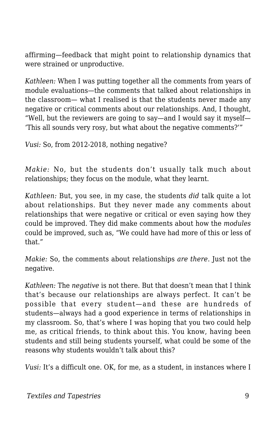affirming—feedback that might point to relationship dynamics that were strained or unproductive.

*Kathleen:* When I was putting together all the comments from years of module evaluations—the comments that talked about relationships in the classroom— what I realised is that the students never made any negative or critical comments about our relationships. And, I thought, "Well, but the reviewers are going to say—and I would say it myself— 'This all sounds very rosy, but what about the negative comments?'"

*Vusi:* So, from 2012-2018, nothing negative?

*Makie:* No, but the students don't usually talk much about relationships; they focus on the module, what they learnt.

*Kathleen:* But, you see, in my case, the students *did* talk quite a lot about relationships. But they never made any comments about relationships that were negative or critical or even saying how they could be improved. They did make comments about how the *modules* could be improved, such as, "We could have had more of this or less of that."

*Makie:* So, the comments about relationships *are there*. Just not the negative.

*Kathleen:* The *negative* is not there. But that doesn't mean that I think that's because our relationships are always perfect. It can't be possible that every student—and these are hundreds of students—always had a good experience in terms of relationships in my classroom. So, that's where I was hoping that you two could help me, as critical friends, to think about this. You know, having been students and still being students yourself, what could be some of the reasons why students wouldn't talk about this?

*Vusi:* It's a difficult one. OK, for me, as a student, in instances where I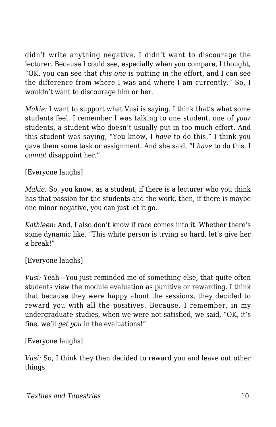didn't write anything negative, I didn't want to discourage the lecturer. Because I could see, especially when you compare, I thought, "OK, you can see that *this one* is putting in the effort, and I can see the difference from where I was and where I am currently." So, I wouldn't want to discourage him or her.

*Makie:* I want to support what Vusi is saying. I think that's what some students feel. I remember I was talking to one student, one of *your* students, a student who doesn't usually put in too much effort. And this student was saying, "You know, I *have* to do this." I think you gave them some task or assignment. And she said, "I *have* to do this. I *cannot* disappoint her."

[Everyone laughs]

*Makie:* So, you know, as a student, if there is a lecturer who you think has that passion for the students and the work, then, if there is maybe one minor negative, you can just let it go.

*Kathleen:* And, I also don't know if race comes into it. Whether there's some dynamic like, "This white person is trying so hard, let's give her a break!"

[Everyone laughs]

*Vusi:* Yeah—You just reminded me of something else, that quite often students view the module evaluation as punitive or rewarding. I think that because they were happy about the sessions, they decided to reward you with all the positives. Because, I remember, in my undergraduate studies, when we were not satisfied, we said, "OK, it's fine, we'll *get you* in the evaluations!"

[Everyone laughs]

*Vusi:* So, I think they then decided to reward you and leave out other things.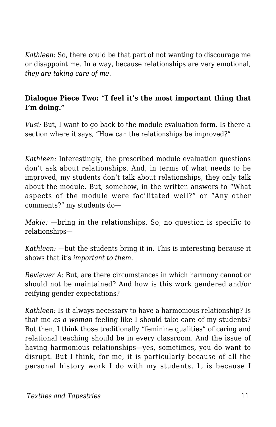*Kathleen:* So, there could be that part of not wanting to discourage me or disappoint me. In a way, because relationships are very emotional, *they are taking care of me*.

#### **Dialogue Piece Two: "I feel it's the most important thing that I'm doing."**

*Vusi:* But, I want to go back to the module evaluation form. Is there a section where it says, "How can the relationships be improved?"

*Kathleen:* Interestingly, the prescribed module evaluation questions don't ask about relationships. And, in terms of what needs to be improved, my students don't talk about relationships, they only talk about the module. But, somehow, in the written answers to "What aspects of the module were facilitated well?" or "Any other comments?" my students do—

*Makie:* —bring in the relationships. So, no question is specific to relationships—

*Kathleen:* —but the students bring it in. This is interesting because it shows that it's *important to them*.

*Reviewer A:* But, are there circumstances in which harmony cannot or should not be maintained? And how is this work gendered and/or reifying gender expectations?

*Kathleen:* Is it always necessary to have a harmonious relationship? Is that me *as a woman* feeling like I should take care of my students? But then, I think those traditionally "feminine qualities" of caring and relational teaching should be in every classroom. And the issue of having harmonious relationships—yes, sometimes, you do want to disrupt. But I think, for me, it is particularly because of all the personal history work I do with my students. It is because I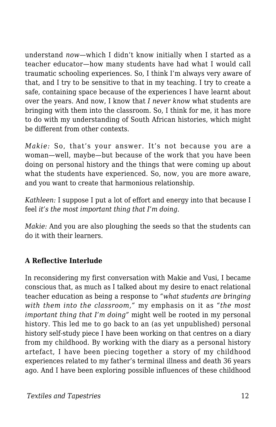understand *now*—which I didn't know initially when I started as a teacher educator—how many students have had what I would call traumatic schooling experiences. So, I think I'm always very aware of that, and I try to be sensitive to that in my teaching. I try to create a safe, containing space because of the experiences I have learnt about over the years. And now, I know that *I never know* what students are bringing with them into the classroom. So, I think for me, it has more to do with my understanding of South African histories, which might be different from other contexts.

*Makie:* So, that's your answer. It's not because you are a woman—well, maybe—but because of the work that you have been doing on personal history and the things that were coming up about what the students have experienced. So, now, you are more aware, and you want to create that harmonious relationship.

*Kathleen:* I suppose I put a lot of effort and energy into that because I feel *it's the most important thing that I'm doing*.

*Makie:* And you are also ploughing the seeds so that the students can do it with their learners.

#### **A Reflective Interlude**

In reconsidering my first conversation with Makie and Vusi, I became conscious that, as much as I talked about my desire to enact relational teacher education as being a response to *"what students are bringing with them into the classroom,"* my emphasis on it as *"the most important thing that I'm doing"* might well be rooted in my personal history. This led me to go back to an (as yet unpublished) personal history self-study piece I have been working on that centres on a diary from my childhood. By working with the diary as a personal history artefact, I have been piecing together a story of my childhood experiences related to my father's terminal illness and death 36 years ago. And I have been exploring possible influences of these childhood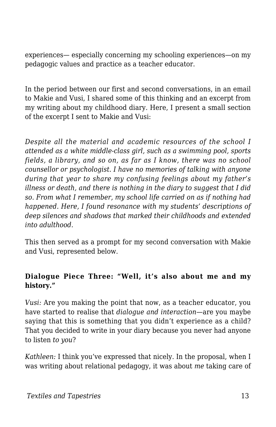experiences— especially concerning my schooling experiences—on my pedagogic values and practice as a teacher educator.

In the period between our first and second conversations, in an email to Makie and Vusi, I shared some of this thinking and an excerpt from my writing about my childhood diary. Here, I present a small section of the excerpt I sent to Makie and Vusi:

*Despite all the material and academic resources of the school I attended as a white middle-class girl, such as a swimming pool, sports fields, a library, and so on, as far as I know, there was no school counsellor or psychologist. I have no memories of talking with anyone during that year to share my confusing feelings about my father's illness or death, and there is nothing in the diary to suggest that I did so. From what I remember, my school life carried on as if nothing had happened. Here, I found resonance with my students' descriptions of deep silences and shadows that marked their childhoods and extended into adulthood.*

This then served as a prompt for my second conversation with Makie and Vusi, represented below.

#### **Dialogue Piece Three: "Well, it's also about me and my history."**

*Vusi:* Are you making the point that now, as a teacher educator, you have started to realise that *dialogue and interaction*—are you maybe saying that this is something that you didn't experience as a child? That you decided to write in your diary because you never had anyone to listen *to you*?

*Kathleen:* I think you've expressed that nicely. In the proposal, when I was writing about relational pedagogy, it was about *me* taking care of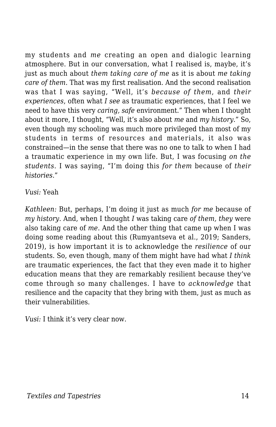my students and *me* creating an open and dialogic learning atmosphere. But in our conversation, what I realised is, maybe, it's just as much about *them taking care of me* as it is about *me taking care of them*. That was my first realisation. And the second realisation was that I was saying, "Well, it's *because of them*, and *their experiences*, often what *I see* as traumatic experiences, that I feel we need to have this very *caring, safe* environment." Then when I thought about it more, I thought, "Well, it's also about *me* and *my history*." So, even though my schooling was much more privileged than most of my students in terms of resources and materials, it also was constrained—in the sense that there was no one to talk to when I had a traumatic experience in my own life. But, I was focusing *on the students*. I was saying, "I'm doing this *for them* because of *their histories*."

*Vusi:* Yeah

*Kathleen:* But, perhaps, I'm doing it just as much *for me* because of *my history*. And, when I thought *I* was taking care *of them, they* were also taking care of *me*. And the other thing that came up when I was doing some reading about this (Rumyantseva et al., 2019; Sanders, 2019), is how important it is to acknowledge the *resilience* of our students. So, even though, many of them might have had what *I think* are traumatic experiences, the fact that they even made it to higher education means that they are remarkably resilient because they've come through so many challenges. I have to *acknowledge* that resilience and the capacity that they bring with them, just as much as their vulnerabilities.

*Vusi:* I think it's very clear now.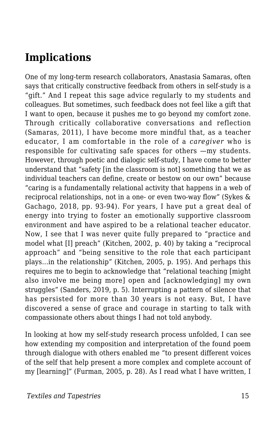## **Implications**

One of my long-term research collaborators, Anastasia Samaras, often says that critically constructive feedback from others in self-study is a "gift." And I repeat this sage advice regularly to my students and colleagues. But sometimes, such feedback does not feel like a gift that I want to open, because it pushes me to go beyond my comfort zone. Through critically collaborative conversations and reflection (Samaras, 2011), I have become more mindful that, as a teacher educator, I am comfortable in the role of a *caregiver* who is responsible for cultivating safe spaces for others —my students. However, through poetic and dialogic self-study, I have come to better understand that "safety [in the classroom is not] something that we as individual teachers can define, create or bestow on our own" because "caring is a fundamentally relational activity that happens in a web of reciprocal relationships, not in a one- or even two-way flow" (Sykes & Gachago, 2018, pp. 93-94). For years, I have put a great deal of energy into trying to foster an emotionally supportive classroom environment and have aspired to be a relational teacher educator. Now, I see that I was never quite fully prepared to "practice and model what [I] preach" (Kitchen, 2002, p. 40) by taking a "reciprocal approach" and "being sensitive to the role that each participant plays…in the relationship" (Kitchen, 2005, p. 195). And perhaps this requires me to begin to acknowledge that "relational teaching [might also involve me being more] open and [acknowledging] my own struggles" (Sanders, 2019, p. 5). Interrupting a pattern of silence that has persisted for more than 30 years is not easy. But, I have discovered a sense of grace and courage in starting to talk with compassionate others about things I had not told anybody.

In looking at how my self-study research process unfolded, I can see how extending my composition and interpretation of the found poem through dialogue with others enabled me "to present different voices of the self that help present a more complex and complete account of my [learning]" (Furman, 2005, p. 28). As I read what I have written, I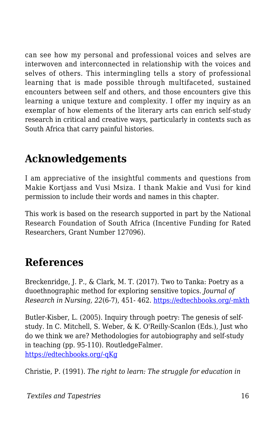can see how my personal and professional voices and selves are interwoven and interconnected in relationship with the voices and selves of others. This intermingling tells a story of professional learning that is made possible through multifaceted, sustained encounters between self and others, and those encounters give this learning a unique texture and complexity. I offer my inquiry as an exemplar of how elements of the literary arts can enrich self-study research in critical and creative ways, particularly in contexts such as South Africa that carry painful histories.

## **Acknowledgements**

I am appreciative of the insightful comments and questions from Makie Kortjass and Vusi Msiza. I thank Makie and Vusi for kind permission to include their words and names in this chapter.

This work is based on the research supported in part by the National Research Foundation of South Africa (Incentive Funding for Rated Researchers, Grant Number 127096).

## **References**

Breckenridge, J. P., & Clark, M. T. (2017). Two to Tanka: Poetry as a duoethnographic method for exploring sensitive topics. *Journal of Research in Nursing, 22*(6-7), 451- 462. [https://edtechbooks.org/-mkth](https://doi.org/10.1177/1744987117720824)

Butler-Kisber, L. (2005). Inquiry through poetry: The genesis of selfstudy. In C. Mitchell, S. Weber, & K. O'Reilly-Scanlon (Eds.), Just who do we think we are? Methodologies for autobiography and self-study in teaching (pp. 95-110). RoutledgeFalmer. [https://edtechbooks.org/-qKg](https://doi.org/10.4324/9780203464977_chapter_9)

Christie, P. (1991). *The right to learn: The struggle for education in*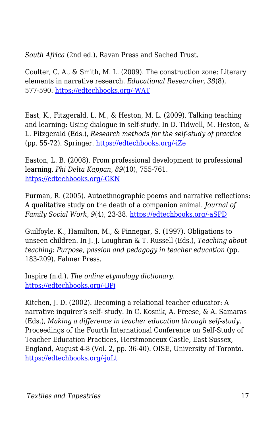*South Africa* (2nd ed.). Ravan Press and Sached Trust.

Coulter, C. A., & Smith, M. L. (2009). The construction zone: Literary elements in narrative research. *Educational Researcher, 38*(8), 577-590. [https://edtechbooks.org/-WAT](https://doi.org/10.3102/0013189X09353787)

East, K., Fitzgerald, L. M., & Heston, M. L. (2009). Talking teaching and learning: Using dialogue in self-study. In D. Tidwell, M. Heston, & L. Fitzgerald (Eds.), *Research methods for the self-study of practice* (pp. 55-72). Springer. [https://edtechbooks.org/-iZe](https://doi.org/10.1007/978-1-4020-9514-6_4)

Easton, L. B. (2008). From professional development to professional learning. *Phi Delta Kappan, 89*(10), 755-761. [https://edtechbooks.org/-GKN](https://doi.org/10.1177/003172170808901014)

Furman, R. (2005). Autoethnographic poems and narrative reflections: A qualitative study on the death of a companion animal. *Journal of Family Social Work, 9*(4), 23-38. [https://edtechbooks.org/-aSPD](https://doi.org/10.1300/J039v09n04_03)

Guilfoyle, K., Hamilton, M., & Pinnegar, S. (1997). Obligations to unseen children. In J. J. Loughran & T. Russell (Eds.), *Teaching about teaching: Purpose, passion and pedagogy in teacher education (pp.* 183-209). Falmer Press.

Inspire (n.d.). *The online etymology dictionary*. [https://edtechbooks.org/-BPj](https://www.etymonline.com/word/inspire)

Kitchen, J. D. (2002). Becoming a relational teacher educator: A narrative inquirer's self- study. In C. Kosnik, A. Freese, & A. Samaras (Eds.), *Making a difference in teacher education through self-study.* Proceedings of the Fourth International Conference on Self-Study of Teacher Education Practices, Herstmonceux Castle, East Sussex, England, August 4-8 (Vol. 2, pp. 36-40). OISE, University of Toronto. [https://edtechbooks.org/-juLt](https://doi.org/10.1080/17425960500288374)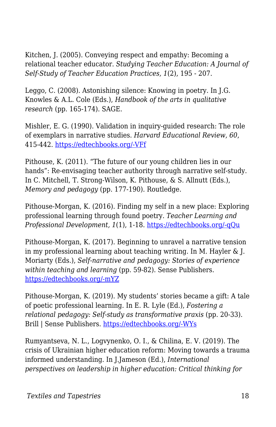Kitchen, J. (2005). Conveying respect and empathy: Becoming a relational teacher educator. *Studying Teacher Education: A Journal of Self-Study of Teacher Education Practices, 1*(2), 195 - 207.

Leggo, C. (2008). Astonishing silence: Knowing in poetry. In J.G. Knowles & A.L. Cole (Eds.), *Handbook of the arts in qualitative research* (pp. 165-174). SAGE.

Mishler, E. G. (1990). Validation in inquiry-guided research: The role of exemplars in narrative studies. *Harvard Educational Review, 60*, 415-442. [https://edtechbooks.org/-VFf](https://doi.org/10.17763/haer.60.4.n4405243p6635752)

Pithouse, K. (2011). "The future of our young children lies in our hands": Re-envisaging teacher authority through narrative self-study. In C. Mitchell, T. Strong-Wilson, K. Pithouse, & S. Allnutt (Eds.), *Memory and pedagogy* (pp. 177-190). Routledge.

Pithouse-Morgan, K. (2016). Finding my self in a new place: Exploring professional learning through found poetry. *Teacher Learning and Professional Development, 1*(1), 1-18. [https://edtechbooks.org/-qQu](http://journals.sfu.ca/tlpd/index.php/tlpd/article/view/1)

Pithouse-Morgan, K. (2017). Beginning to unravel a narrative tension in my professional learning about teaching writing. In M. Hayler & J. Moriarty (Eds.), *Self-narrative and pedagogy: Stories of experience within teaching and learning* (pp. 59-82). Sense Publishers. [https://edtechbooks.org/-mYZ](https://doi.org/10.1007/978-94-6351-023-3_5)

Pithouse-Morgan, K. (2019). My students' stories became a gift: A tale of poetic professional learning. In E. R. Lyle (Ed.), *Fostering a relational pedagogy: Self-study as transformative praxis* (pp. 20-33). Brill | Sense Publishers. [https://edtechbooks.org/-WYs](https://doi.org/10.1163/9789004388864_003)

Rumyantseva, N. L., Logvynenko, O. I., & Chilina, E. V. (2019). The crisis of Ukrainian higher education reform: Moving towards a trauma informed understanding. In J.Jameson (Ed.), *International perspectives on leadership in higher education: Critical thinking for*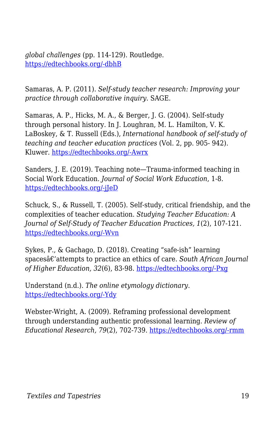*global challenges* (pp. 114-129). Routledge. [https://edtechbooks.org/-dbhB](https://doi.org/10.4324/9781315122410-11)

Samaras, A. P. (2011). *Self-study teacher research: Improving your practice through collaborative inquiry*. SAGE.

Samaras, A. P., Hicks, M. A., & Berger, J. G. (2004). Self-study through personal history. In J. Loughran, M. L. Hamilton, V. K. LaBoskey, & T. Russell (Eds.), *International handbook of self-study of teaching and teacher education practices* (Vol. 2, pp. 905- 942). Kluwer. [https://edtechbooks.org/-Awrx](https://doi.org/10.1007/978-1-4020-6545-3_23)

Sanders, J. E. (2019). Teaching note—Trauma-informed teaching in Social Work Education. *Journal of Social Work Education*, 1-8. [https://edtechbooks.org/-jJeD](https://doi.org/10.1080/10437797.2019.1661923)

Schuck, S., & Russell, T. (2005). Self-study, critical friendship, and the complexities of teacher education. *Studying Teacher Education: A Journal of Self-Study of Teacher Education Practices, 1*(2), 107-121. [https://edtechbooks.org/-Wvn](https://doi.org/10.1080/17425960500288291)

Sykes, P., & Gachago, D. (2018). Creating "safe-ish" learning spacesâ€'attempts to practice an ethics of care. South African Journal *of Higher Education, 32*(6), 83-98. [https://edtechbooks.org/-Pxg](https://doi.org/10.20853/32-6-2654)

Understand (n.d.). *The online etymology dictionary*. [https://edtechbooks.org/-Ydy](https://www.etymonline.com/word/understand)

Webster-Wright, A. (2009). Reframing professional development through understanding authentic professional learning. *Review of Educational Research, 79*(2), 702-739. [https://edtechbooks.org/-rmm](https://doi.org/10.3102/0034654308330970)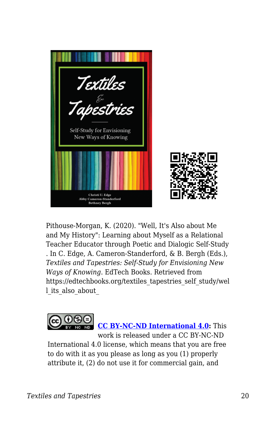

Pithouse-Morgan, K. (2020). "Well, It's Also about Me and My History": Learning about Myself as a Relational Teacher Educator through Poetic and Dialogic Self-Study . In C. Edge, A. Cameron-Standerford, & B. Bergh (Eds.), *Textiles and Tapestries: Self-Study for Envisioning New Ways of Knowing*. EdTech Books. Retrieved from https://edtechbooks.org/textiles\_tapestries\_self\_study/wel l its also about



International 4.0 license, which means that you are free to do with it as you please as long as you (1) properly attribute it, (2) do not use it for commercial gain, and